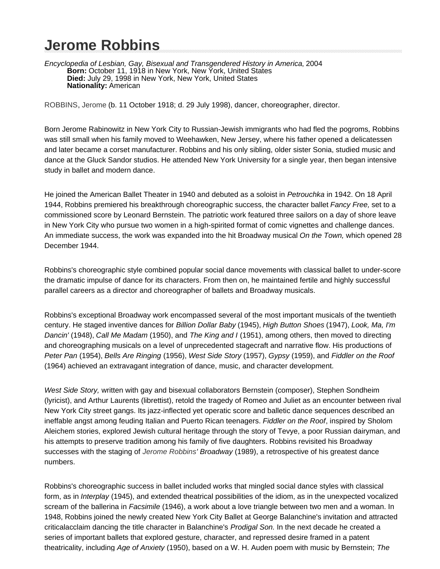## **Jerome Robbins**

Encyclopedia of Lesbian, Gay, Bisexual and Transgendered History in America, 2004 **Born:** October 11, 1918 in New York, New York, United States **Died:** July 29, 1998 in New York, New York, United States **Nationality:** American

ROBBINS, Jerome (b. 11 October 1918; d. 29 July 1998), dancer, choreographer, director.

Born Jerome Rabinowitz in New York City to Russian-Jewish immigrants who had fled the pogroms, Robbins was still small when his family moved to Weehawken, New Jersey, where his father opened a delicatessen and later became a corset manufacturer. Robbins and his only sibling, older sister Sonia, studied music and dance at the Gluck Sandor studios. He attended New York University for a single year, then began intensive study in ballet and modern dance.

He joined the American Ballet Theater in 1940 and debuted as a soloist in Petrouchka in 1942. On 18 April 1944, Robbins premiered his breakthrough choreographic success, the character ballet Fancy Free, set to a commissioned score by Leonard Bernstein. The patriotic work featured three sailors on a day of shore leave in New York City who pursue two women in a high-spirited format of comic vignettes and challenge dances. An immediate success, the work was expanded into the hit Broadway musical On the Town, which opened 28 December 1944.

Robbins's choreographic style combined popular social dance movements with classical ballet to under-score the dramatic impulse of dance for its characters. From then on, he maintained fertile and highly successful parallel careers as a director and choreographer of ballets and Broadway musicals.

Robbins's exceptional Broadway work encompassed several of the most important musicals of the twentieth century. He staged inventive dances for Billion Dollar Baby (1945), High Button Shoes (1947), Look, Ma, I'm Dancin' (1948), Call Me Madam (1950), and The King and I (1951), among others, then moved to directing and choreographing musicals on a level of unprecedented stagecraft and narrative flow. His productions of Peter Pan (1954), Bells Are Ringing (1956), West Side Story (1957), Gypsy (1959), and Fiddler on the Roof (1964) achieved an extravagant integration of dance, music, and character development.

West Side Story, written with gay and bisexual collaborators Bernstein (composer), Stephen Sondheim (lyricist), and Arthur Laurents (librettist), retold the tragedy of Romeo and Juliet as an encounter between rival New York City street gangs. Its jazz-inflected yet operatic score and balletic dance sequences described an ineffable angst among feuding Italian and Puerto Rican teenagers. Fiddler on the Roof, inspired by Sholom Aleichem stories, explored Jewish cultural heritage through the story of Tevye, a poor Russian dairyman, and his attempts to preserve tradition among his family of five daughters. Robbins revisited his Broadway successes with the staging of Jerome Robbins' Broadway (1989), a retrospective of his greatest dance numbers.

Robbins's choreographic success in ballet included works that mingled social dance styles with classical form, as in Interplay (1945), and extended theatrical possibilities of the idiom, as in the unexpected vocalized scream of the ballerina in Facsimile (1946), a work about a love triangle between two men and a woman. In 1948, Robbins joined the newly created New York City Ballet at George Balanchine's invitation and attracted criticalacclaim dancing the title character in Balanchine's Prodigal Son. In the next decade he created a series of important ballets that explored gesture, character, and repressed desire framed in a patent theatricality, including Age of Anxiety (1950), based on a W. H. Auden poem with music by Bernstein; The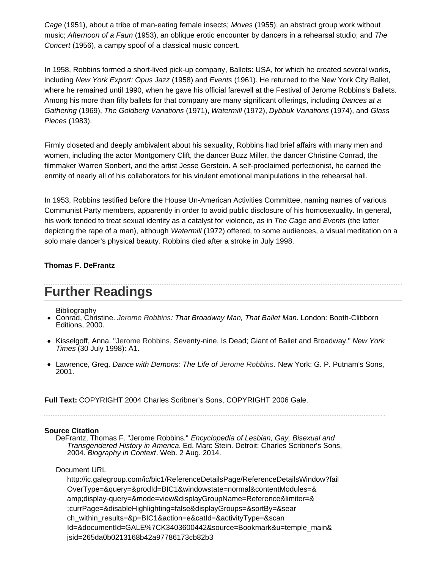Cage (1951), about a tribe of man-eating female insects; Moves (1955), an abstract group work without music; Afternoon of a Faun (1953), an oblique erotic encounter by dancers in a rehearsal studio; and The Concert (1956), a campy spoof of a classical music concert.

In 1958, Robbins formed a short-lived pick-up company, Ballets: USA, for which he created several works, including New York Export: Opus Jazz (1958) and Events (1961). He returned to the New York City Ballet, where he remained until 1990, when he gave his official farewell at the Festival of Jerome Robbins's Ballets. Among his more than fifty ballets for that company are many significant offerings, including *Dances at a* Gathering (1969), The Goldberg Variations (1971), Watermill (1972), Dybbuk Variations (1974), and Glass Pieces (1983).

Firmly closeted and deeply ambivalent about his sexuality, Robbins had brief affairs with many men and women, including the actor Montgomery Clift, the dancer Buzz Miller, the dancer Christine Conrad, the filmmaker Warren Sonbert, and the artist Jesse Gerstein. A self-proclaimed perfectionist, he earned the enmity of nearly all of his collaborators for his virulent emotional manipulations in the rehearsal hall.

In 1953, Robbins testified before the House Un-American Activities Committee, naming names of various Communist Party members, apparently in order to avoid public disclosure of his homosexuality. In general, his work tended to treat sexual identity as a catalyst for violence, as in The Cage and Events (the latter depicting the rape of a man), although *Watermill* (1972) offered, to some audiences, a visual meditation on a solo male dancer's physical beauty. Robbins died after a stroke in July 1998.

## **Thomas F. DeFrantz**

## **Further Readings**

Bibliography

- Conrad, Christine. Jerome Robbins: That Broadway Man, That Ballet Man. London: Booth-Clibborn Editions, 2000.
- Kisselgoff, Anna. "Jerome Robbins, Seventy-nine, Is Dead; Giant of Ballet and Broadway." New York Times (30 July 1998): A1.
- Lawrence, Greg. Dance with Demons: The Life of Jerome Robbins. New York: G. P. Putnam's Sons, 2001.

**Full Text:** COPYRIGHT 2004 Charles Scribner's Sons, COPYRIGHT 2006 Gale.

## **Source Citation**

DeFrantz, Thomas F. "Jerome Robbins." Encyclopedia of Lesbian, Gay, Bisexual and Transgendered History in America. Ed. Marc Stein. Detroit: Charles Scribner's Sons, 2004. Biography in Context. Web. 2 Aug. 2014.

Document URL

http://ic.galegroup.com/ic/bic1/ReferenceDetailsPage/ReferenceDetailsWindow?fail OverType=&query=&prodId=BIC1&windowstate=normal&contentModules=& amp;display-query=&mode=view&displayGroupName=Reference&limiter=& ;currPage=&disableHighlighting=false&displayGroups=&sortBy=&sear ch within results=&p=BIC1&action=e&catId=&activityType=&scan Id=&documentId=GALE%7CK3403600442&source=Bookmark&u=temple\_main& jsid=265da0b0213168b42a97786173cb82b3